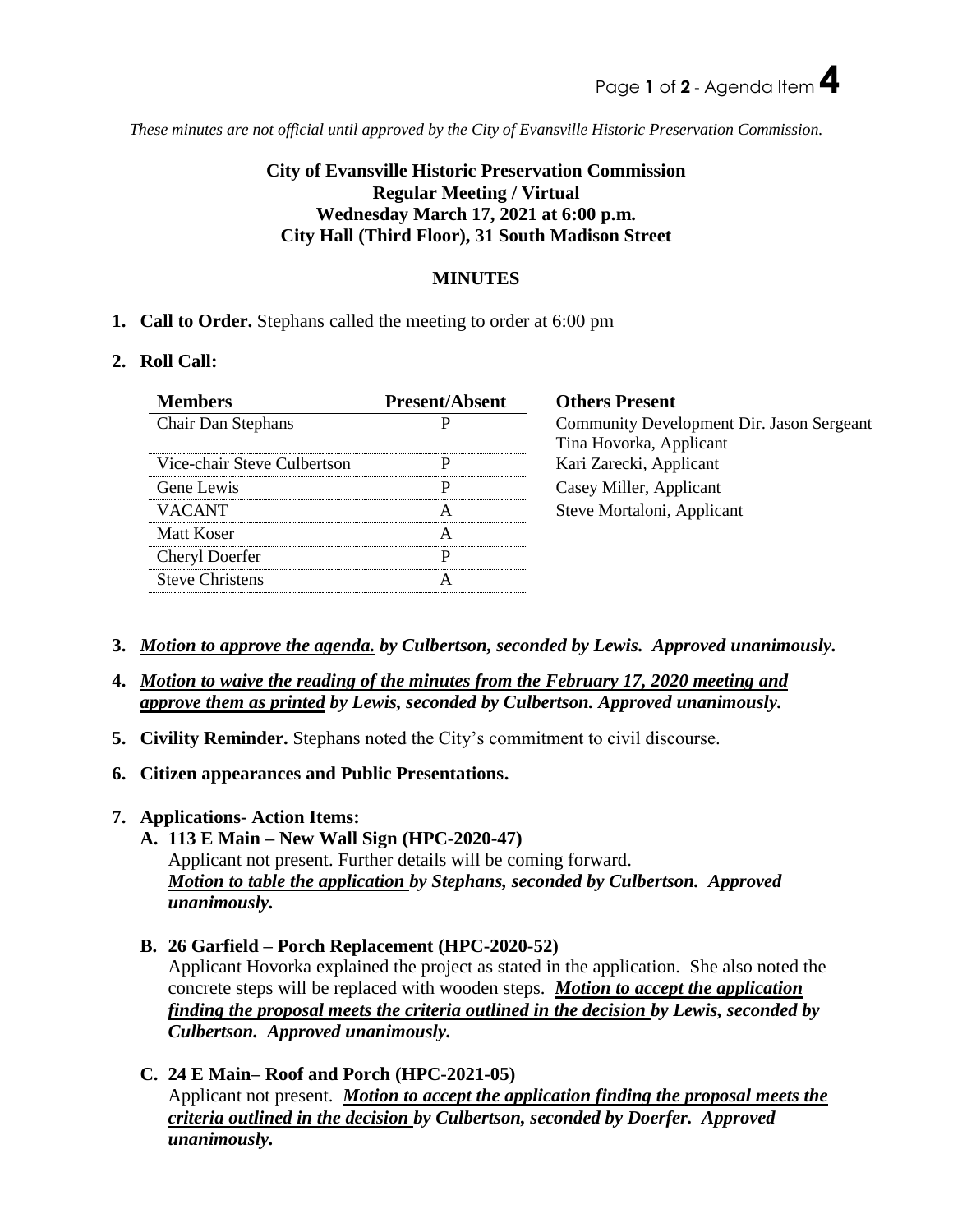*These minutes are not official until approved by the City of Evansville Historic Preservation Commission.*

# **City of Evansville Historic Preservation Commission Regular Meeting / Virtual Wednesday March 17, 2021 at 6:00 p.m. City Hall (Third Floor), 31 South Madison Street**

# **MINUTES**

**1. Call to Order.** Stephans called the meeting to order at 6:00 pm

### **2. Roll Call:**

| <b>Members</b>              | <b>Present/Absent</b> | <b>Others Present</b>                     |
|-----------------------------|-----------------------|-------------------------------------------|
| <b>Chair Dan Stephans</b>   |                       | Community Development Dir. Jason Sergeant |
|                             |                       | Tina Hovorka, Applicant                   |
| Vice-chair Steve Culbertson | р                     | Kari Zarecki, Applicant                   |
| Gene Lewis                  | р                     | Casey Miller, Applicant                   |
| <b>VACANT</b>               | A                     | Steve Mortaloni, Applicant                |
| Matt Koser                  | А                     |                                           |
| Cheryl Doerfer              | р                     |                                           |
| <b>Steve Christens</b>      |                       |                                           |
|                             |                       |                                           |

- **3.** *Motion to approve the agenda. by Culbertson, seconded by Lewis. Approved unanimously.*
- **4.** *Motion to waive the reading of the minutes from the February 17, 2020 meeting and approve them as printed by Lewis, seconded by Culbertson. Approved unanimously.*
- **5. Civility Reminder.** Stephans noted the City's commitment to civil discourse.
- **6. Citizen appearances and Public Presentations.**
- **7. Applications- Action Items:** 
	- **A. 113 E Main – New Wall Sign (HPC-2020-47)**  Applicant not present. Further details will be coming forward. *Motion to table the application by Stephans, seconded by Culbertson. Approved unanimously.*
	- **B. 26 Garfield – Porch Replacement (HPC-2020-52)**  Applicant Hovorka explained the project as stated in the application. She also noted the concrete steps will be replaced with wooden steps. *Motion to accept the application finding the proposal meets the criteria outlined in the decision by Lewis, seconded by Culbertson. Approved unanimously.*
	- **C. 24 E Main– Roof and Porch (HPC-2021-05)** Applicant not present. *Motion to accept the application finding the proposal meets the criteria outlined in the decision by Culbertson, seconded by Doerfer. Approved unanimously.*